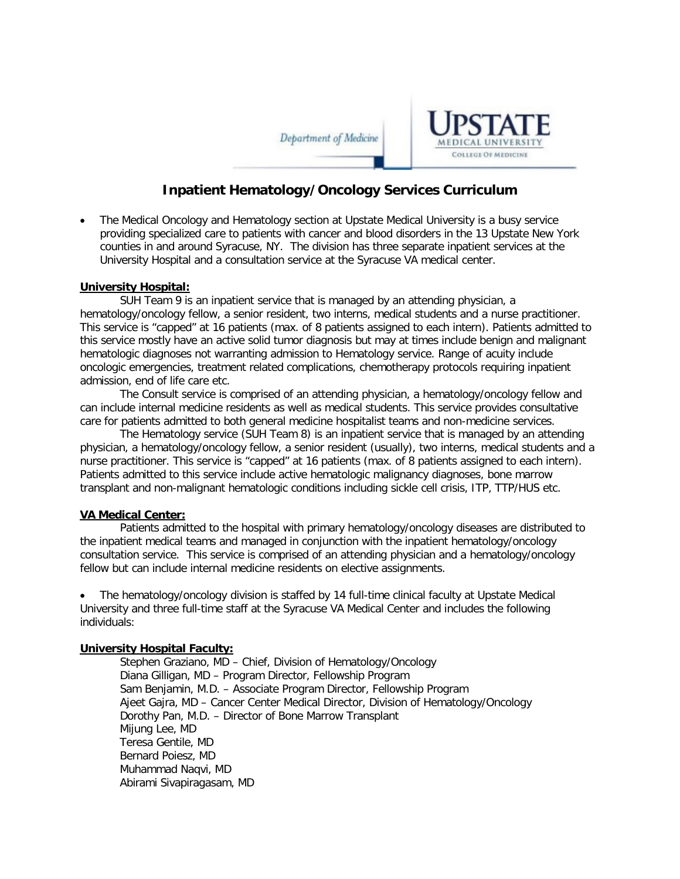Department of Medicine



## **Inpatient Hematology/Oncology Services Curriculum**

• The Medical Oncology and Hematology section at Upstate Medical University is a busy service providing specialized care to patients with cancer and blood disorders in the 13 Upstate New York counties in and around Syracuse, NY. The division has three separate inpatient services at the University Hospital and a consultation service at the Syracuse VA medical center.

#### **University Hospital:**

SUH Team 9 is an inpatient service that is managed by an attending physician, a hematology/oncology fellow, a senior resident, two interns, medical students and a nurse practitioner. This service is "capped" at 16 patients (max. of 8 patients assigned to each intern). Patients admitted to this service mostly have an active solid tumor diagnosis but may at times include benign and malignant hematologic diagnoses not warranting admission to Hematology service. Range of acuity include oncologic emergencies, treatment related complications, chemotherapy protocols requiring inpatient admission, end of life care etc.

The Consult service is comprised of an attending physician, a hematology/oncology fellow and can include internal medicine residents as well as medical students. This service provides consultative care for patients admitted to both general medicine hospitalist teams and non-medicine services.

The Hematology service (SUH Team 8) is an inpatient service that is managed by an attending physician, a hematology/oncology fellow, a senior resident (usually), two interns, medical students and a nurse practitioner. This service is "capped" at 16 patients (max. of 8 patients assigned to each intern). Patients admitted to this service include active hematologic malignancy diagnoses, bone marrow transplant and non-malignant hematologic conditions including sickle cell crisis, ITP, TTP/HUS etc.

#### **VA Medical Center:**

Patients admitted to the hospital with primary hematology/oncology diseases are distributed to the inpatient medical teams and managed in conjunction with the inpatient hematology/oncology consultation service. This service is comprised of an attending physician and a hematology/oncology fellow but can include internal medicine residents on elective assignments.

• The hematology/oncology division is staffed by 14 full-time clinical faculty at Upstate Medical University and three full-time staff at the Syracuse VA Medical Center and includes the following individuals:

#### **University Hospital Faculty:**

Stephen Graziano, MD – Chief, Division of Hematology/Oncology Diana Gilligan, MD – Program Director, Fellowship Program Sam Benjamin, M.D. – Associate Program Director, Fellowship Program Ajeet Gajra, MD – Cancer Center Medical Director, Division of Hematology/Oncology Dorothy Pan, M.D. – Director of Bone Marrow Transplant Mijung Lee, MD Teresa Gentile, MD Bernard Poiesz, MD Muhammad Naqvi, MD Abirami Sivapiragasam, MD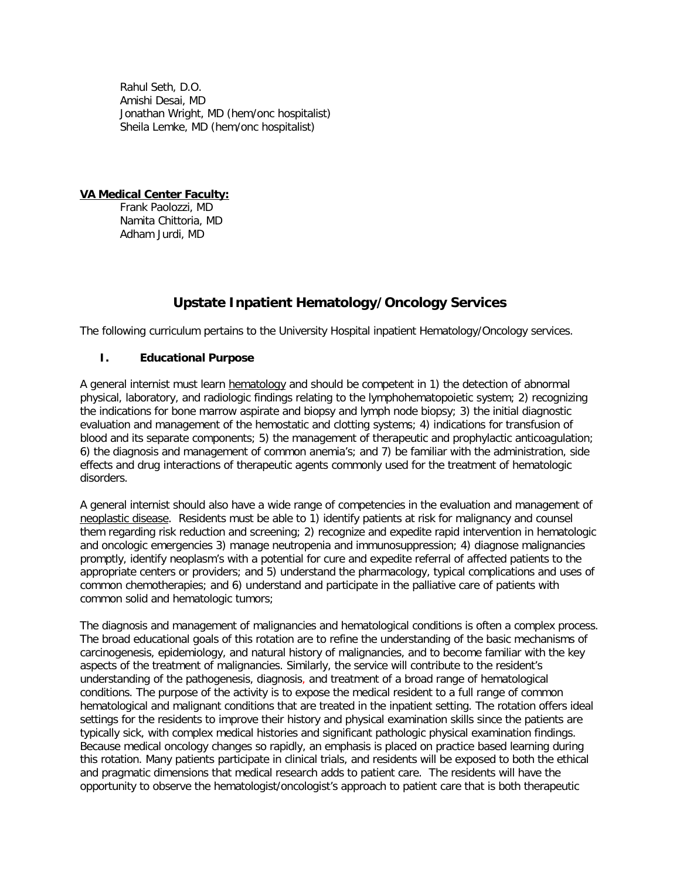Rahul Seth, D.O. Amishi Desai, MD Jonathan Wright, MD (hem/onc hospitalist) Sheila Lemke, MD (hem/onc hospitalist)

**VA Medical Center Faculty:**  Frank Paolozzi, MD Namita Chittoria, MD Adham Jurdi, MD

# **Upstate Inpatient Hematology/Oncology Services**

The following curriculum pertains to the University Hospital inpatient Hematology/Oncology services.

### **I. Educational Purpose**

A general internist must learn hematology and should be competent in 1) the detection of abnormal physical, laboratory, and radiologic findings relating to the lymphohematopoietic system; 2) recognizing the indications for bone marrow aspirate and biopsy and lymph node biopsy; 3) the initial diagnostic evaluation and management of the hemostatic and clotting systems; 4) indications for transfusion of blood and its separate components; 5) the management of therapeutic and prophylactic anticoagulation; 6) the diagnosis and management of common anemia's; and 7) be familiar with the administration, side effects and drug interactions of therapeutic agents commonly used for the treatment of hematologic disorders.

A general internist should also have a wide range of competencies in the evaluation and management of neoplastic disease. Residents must be able to 1) identify patients at risk for malignancy and counsel them regarding risk reduction and screening; 2) recognize and expedite rapid intervention in hematologic and oncologic emergencies 3) manage neutropenia and immunosuppression; 4) diagnose malignancies promptly, identify neoplasm's with a potential for cure and expedite referral of affected patients to the appropriate centers or providers; and 5) understand the pharmacology, typical complications and uses of common chemotherapies; and 6) understand and participate in the palliative care of patients with common solid and hematologic tumors;

The diagnosis and management of malignancies and hematological conditions is often a complex process. The broad educational goals of this rotation are to refine the understanding of the basic mechanisms of carcinogenesis, epidemiology, and natural history of malignancies, and to become familiar with the key aspects of the treatment of malignancies. Similarly, the service will contribute to the resident's understanding of the pathogenesis, diagnosis, and treatment of a broad range of hematological conditions. The purpose of the activity is to expose the medical resident to a full range of common hematological and malignant conditions that are treated in the inpatient setting. The rotation offers ideal settings for the residents to improve their history and physical examination skills since the patients are typically sick, with complex medical histories and significant pathologic physical examination findings. Because medical oncology changes so rapidly, an emphasis is placed on practice based learning during this rotation. Many patients participate in clinical trials, and residents will be exposed to both the ethical and pragmatic dimensions that medical research adds to patient care. The residents will have the opportunity to observe the hematologist/oncologist's approach to patient care that is both therapeutic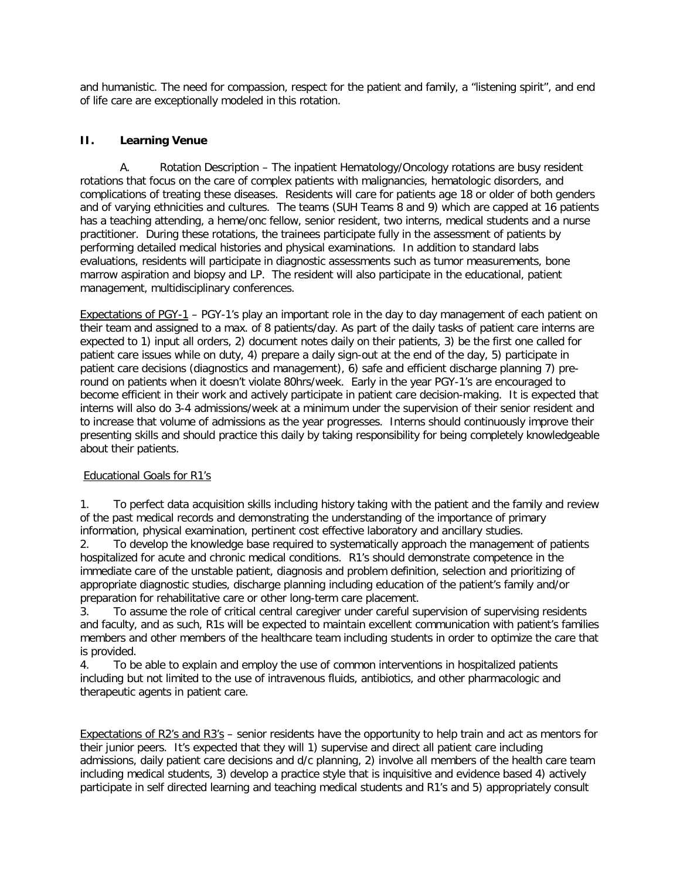and humanistic. The need for compassion, respect for the patient and family, a "listening spirit", and end of life care are exceptionally modeled in this rotation.

#### **II. Learning Venue**

A. Rotation Description – The inpatient Hematology/Oncology rotations are busy resident rotations that focus on the care of complex patients with malignancies, hematologic disorders, and complications of treating these diseases. Residents will care for patients age 18 or older of both genders and of varying ethnicities and cultures. The teams (SUH Teams 8 and 9) which are capped at 16 patients has a teaching attending, a heme/onc fellow, senior resident, two interns, medical students and a nurse practitioner. During these rotations, the trainees participate fully in the assessment of patients by performing detailed medical histories and physical examinations. In addition to standard labs evaluations, residents will participate in diagnostic assessments such as tumor measurements, bone marrow aspiration and biopsy and LP. The resident will also participate in the educational, patient management, multidisciplinary conferences.

Expectations of PGY-1 – PGY-1's play an important role in the day to day management of each patient on their team and assigned to a max. of 8 patients/day. As part of the daily tasks of patient care interns are expected to 1) input all orders, 2) document notes daily on their patients, 3) be the first one called for patient care issues while on duty, 4) prepare a daily sign-out at the end of the day, 5) participate in patient care decisions (diagnostics and management), 6) safe and efficient discharge planning 7) preround on patients when it doesn't violate 80hrs/week. Early in the year PGY-1's are encouraged to become efficient in their work and actively participate in patient care decision-making. It is expected that interns will also do 3-4 admissions/week at a minimum under the supervision of their senior resident and to increase that volume of admissions as the year progresses. Interns should continuously improve their presenting skills and should practice this daily by taking responsibility for being completely knowledgeable about their patients.

#### Educational Goals for R1's

1. To perfect data acquisition skills including history taking with the patient and the family and review of the past medical records and demonstrating the understanding of the importance of primary information, physical examination, pertinent cost effective laboratory and ancillary studies.

2. To develop the knowledge base required to systematically approach the management of patients hospitalized for acute and chronic medical conditions. R1's should demonstrate competence in the immediate care of the unstable patient, diagnosis and problem definition, selection and prioritizing of appropriate diagnostic studies, discharge planning including education of the patient's family and/or preparation for rehabilitative care or other long-term care placement.

3. To assume the role of critical central caregiver under careful supervision of supervising residents and faculty, and as such, R1s will be expected to maintain excellent communication with patient's families members and other members of the healthcare team including students in order to optimize the care that is provided.

4. To be able to explain and employ the use of common interventions in hospitalized patients including but not limited to the use of intravenous fluids, antibiotics, and other pharmacologic and therapeutic agents in patient care.

Expectations of R2's and R3's – senior residents have the opportunity to help train and act as mentors for their junior peers. It's expected that they will 1) supervise and direct all patient care including admissions, daily patient care decisions and d/c planning, 2) involve all members of the health care team including medical students, 3) develop a practice style that is inquisitive and evidence based 4) actively participate in self directed learning and teaching medical students and R1's and 5) appropriately consult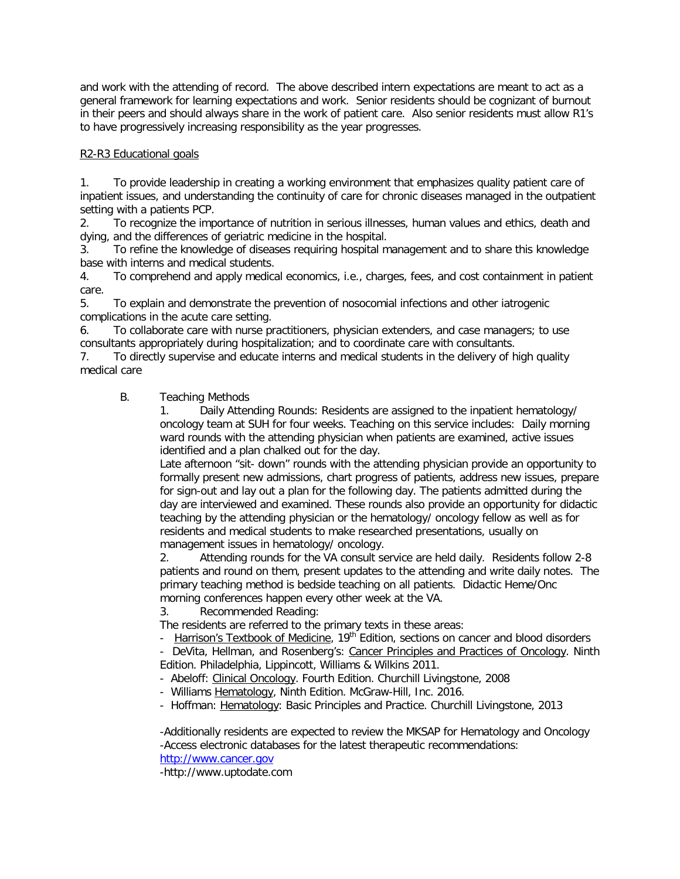and work with the attending of record. The above described intern expectations are meant to act as a general framework for learning expectations and work. Senior residents should be cognizant of burnout in their peers and should always share in the work of patient care. Also senior residents must allow R1's to have progressively increasing responsibility as the year progresses.

#### R2-R3 Educational goals

1. To provide leadership in creating a working environment that emphasizes quality patient care of inpatient issues, and understanding the continuity of care for chronic diseases managed in the outpatient setting with a patients PCP.

2. To recognize the importance of nutrition in serious illnesses, human values and ethics, death and dying, and the differences of geriatric medicine in the hospital.

3. To refine the knowledge of diseases requiring hospital management and to share this knowledge base with interns and medical students.

4. To comprehend and apply medical economics, i.e., charges, fees, and cost containment in patient care.

5. To explain and demonstrate the prevention of nosocomial infections and other iatrogenic complications in the acute care setting.

6. To collaborate care with nurse practitioners, physician extenders, and case managers; to use consultants appropriately during hospitalization; and to coordinate care with consultants.

7. To directly supervise and educate interns and medical students in the delivery of high quality medical care

## B. Teaching Methods

1. Daily Attending Rounds: Residents are assigned to the inpatient hematology/ oncology team at SUH for four weeks. Teaching on this service includes: Daily morning ward rounds with the attending physician when patients are examined, active issues identified and a plan chalked out for the day.

Late afternoon "sit- down" rounds with the attending physician provide an opportunity to formally present new admissions, chart progress of patients, address new issues, prepare for sign-out and lay out a plan for the following day. The patients admitted during the day are interviewed and examined. These rounds also provide an opportunity for didactic teaching by the attending physician or the hematology/ oncology fellow as well as for residents and medical students to make researched presentations, usually on management issues in hematology/ oncology.

2. Attending rounds for the VA consult service are held daily. Residents follow 2-8 patients and round on them, present updates to the attending and write daily notes. The primary teaching method is bedside teaching on all patients. Didactic Heme/Onc morning conferences happen every other week at the VA.

3. Recommended Reading:

The residents are referred to the primary texts in these areas:

- Harrison's Textbook of Medicine, 19<sup>th</sup> Edition, sections on cancer and blood disorders

- DeVita, Hellman, and Rosenberg's: Cancer Principles and Practices of Oncology. Ninth Edition. Philadelphia, Lippincott, Williams & Wilkins 2011.

- Abeloff: Clinical Oncology. Fourth Edition. Churchill Livingstone, 2008
- Williams Hematology, Ninth Edition. McGraw-Hill, Inc. 2016.
- Hoffman: Hematology: Basic Principles and Practice. Churchill Livingstone, 2013

-Additionally residents are expected to review the MKSAP for Hematology and Oncology -Access electronic databases for the latest therapeutic recommendations: [http://www.cancer.gov](http://www.cancer.gov/)

-http://www.uptodate.com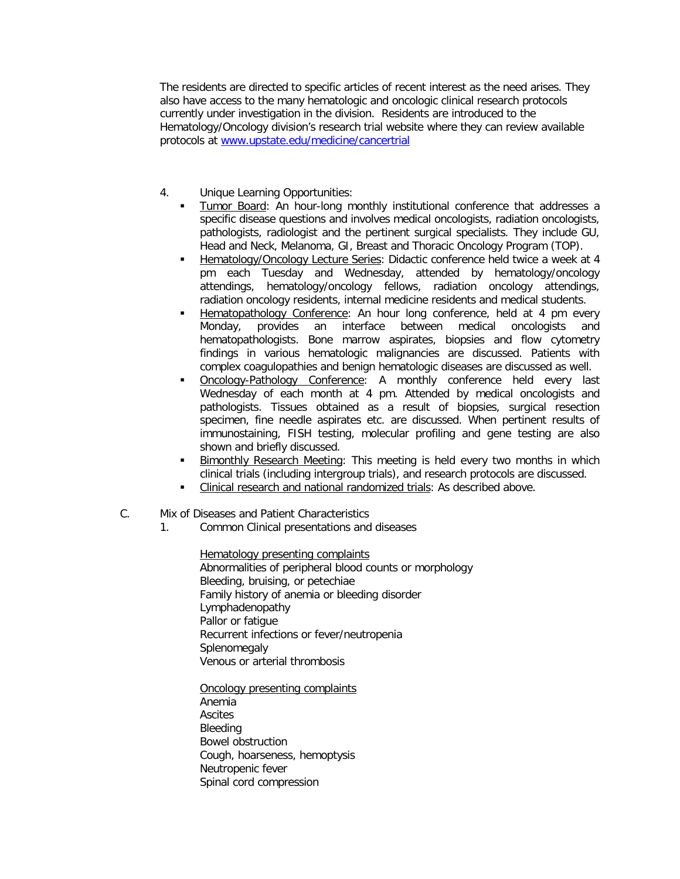The residents are directed to specific articles of recent interest as the need arises. They also have access to the many hematologic and oncologic clinical research protocols currently under investigation in the division. Residents are introduced to the Hematology/Oncology division's research trial website where they can review available protocols at [www.upstate.edu/medicine/cancertrial](http://www.upstate.edu/medicine/cancertrial)

- 4. Unique Learning Opportunities:
	- Tumor Board: An hour-long monthly institutional conference that addresses a specific disease questions and involves medical oncologists, radiation oncologists, pathologists, radiologist and the pertinent surgical specialists. They include GU, Head and Neck, Melanoma, GI, Breast and Thoracic Oncology Program (TOP).
	- Hematology/Oncology Lecture Series: Didactic conference held twice a week at 4 pm each Tuesday and Wednesday, attended by hematology/oncology attendings, hematology/oncology fellows, radiation oncology attendings, radiation oncology residents, internal medicine residents and medical students.
	- Hematopathology Conference: An hour long conference, held at 4 pm every Monday, provides an interface between medical oncologists and hematopathologists. Bone marrow aspirates, biopsies and flow cytometry findings in various hematologic malignancies are discussed. Patients with complex coagulopathies and benign hematologic diseases are discussed as well.
	- Oncology-Pathology Conference: A monthly conference held every last Wednesday of each month at 4 pm. Attended by medical oncologists and pathologists. Tissues obtained as a result of biopsies, surgical resection specimen, fine needle aspirates etc. are discussed. When pertinent results of immunostaining, FISH testing, molecular profiling and gene testing are also shown and briefly discussed.
	- Bimonthly Research Meeting: This meeting is held every two months in which clinical trials (including intergroup trials), and research protocols are discussed.
	- Clinical research and national randomized trials: As described above.
- C. Mix of Diseases and Patient Characteristics
	- 1. Common Clinical presentations and diseases

Hematology presenting complaints Abnormalities of peripheral blood counts or morphology Bleeding, bruising, or petechiae Family history of anemia or bleeding disorder Lymphadenopathy Pallor or fatique Recurrent infections or fever/neutropenia **Splenomegaly** Venous or arterial thrombosis

Oncology presenting complaints Anemia Ascites Bleeding Bowel obstruction Cough, hoarseness, hemoptysis Neutropenic fever Spinal cord compression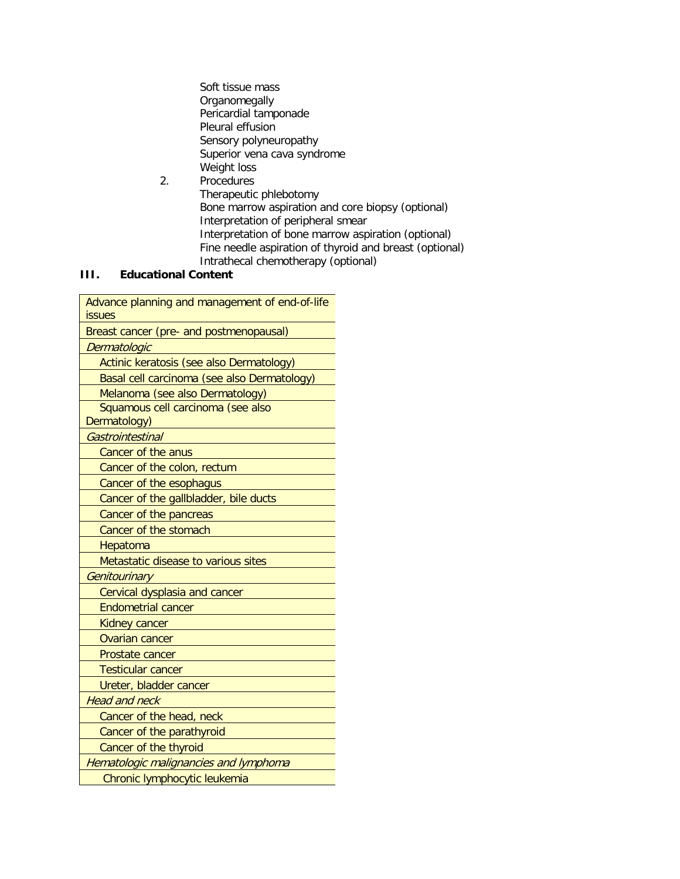Soft tissue mass **Organomegally** Pericardial tamponade Pleural effusion Sensory polyneuropathy Superior vena cava syndrome Weight loss 2. Procedures

Therapeutic phlebotomy Bone marrow aspiration and core biopsy (optional) Interpretation of peripheral smear Interpretation of bone marrow aspiration (optional) Fine needle aspiration of thyroid and breast (optional) Intrathecal chemotherapy (optional)

## **III. Educational Content**

| Advance planning and management of end-of-life<br>issues |
|----------------------------------------------------------|
| Breast cancer (pre- and postmenopausal)                  |
| Dermatologic                                             |
| Actinic keratosis (see also Dermatology)                 |
| Basal cell carcinoma (see also Dermatology)              |
| Melanoma (see also Dermatology)                          |
| Squamous cell carcinoma (see also<br>Dermatology)        |
| Gastrointestinal                                         |
| Cancer of the anus                                       |
| Cancer of the colon, rectum                              |
| Cancer of the esophagus                                  |
| Cancer of the gallbladder, bile ducts                    |
| Cancer of the pancreas                                   |
| Cancer of the stomach                                    |
| Hepatoma                                                 |
| Metastatic disease to various sites                      |
| Genitourinary                                            |
| Cervical dysplasia and cancer                            |
| <b>Endometrial cancer</b>                                |
| <b>Kidney cancer</b>                                     |
| <b>Ovarian cancer</b>                                    |
| Prostate cancer                                          |
| <b>Testicular cancer</b>                                 |
| Ureter, bladder cancer                                   |
| <b>Head and neck</b>                                     |
| Cancer of the head, neck                                 |
| Cancer of the parathyroid                                |
| Cancer of the thyroid                                    |
| Hematologic malignancies and lymphoma                    |
| Chronic lymphocytic leukemia                             |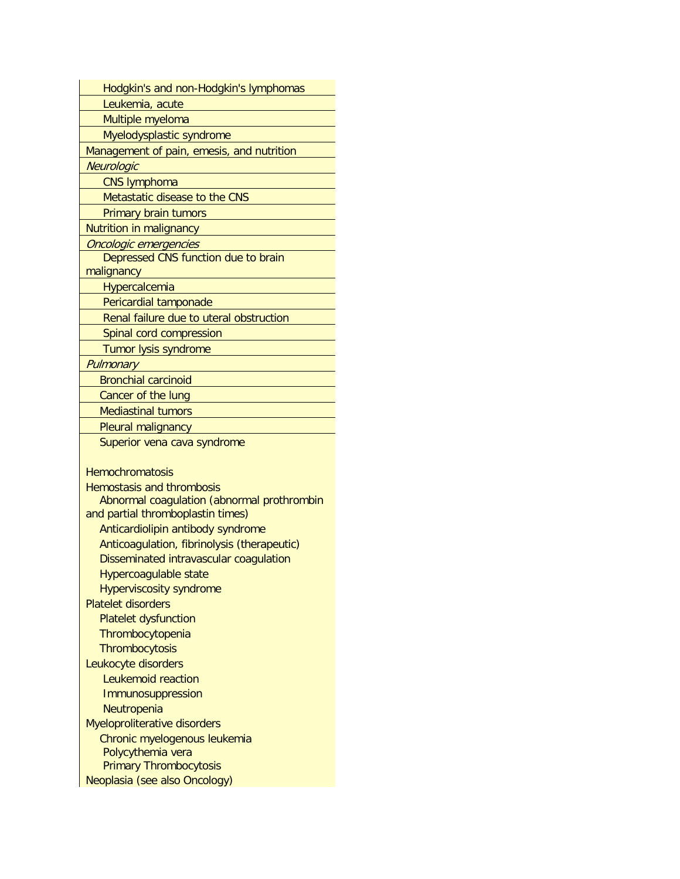| Hodgkin's and non-Hodgkin's lymphomas                          |
|----------------------------------------------------------------|
| Leukemia, acute                                                |
| Multiple myeloma                                               |
| Myelodysplastic syndrome                                       |
| Management of pain, emesis, and nutrition                      |
| Neurologic                                                     |
| <b>CNS lymphoma</b>                                            |
| Metastatic disease to the CNS                                  |
| Primary brain tumors                                           |
| Nutrition in malignancy                                        |
| Oncologic emergencies                                          |
| Depressed CNS function due to brain                            |
| malignancy                                                     |
| Hypercalcemia                                                  |
| Pericardial tamponade                                          |
| Renal failure due to uteral obstruction                        |
| Spinal cord compression                                        |
| Tumor lysis syndrome                                           |
| Pulmonary                                                      |
| <b>Bronchial carcinoid</b>                                     |
| Cancer of the lung                                             |
| <b>Mediastinal tumors</b>                                      |
| Pleural malignancy                                             |
|                                                                |
|                                                                |
| Superior vena cava syndrome                                    |
|                                                                |
| <b>Hemochromatosis</b>                                         |
| <b>Hemostasis and thrombosis</b>                               |
| Abnormal coagulation (abnormal prothrombin                     |
| and partial thromboplastin times)                              |
| Anticardiolipin antibody syndrome                              |
| Anticoagulation, fibrinolysis (therapeutic)                    |
| Disseminated intravascular coagulation                         |
| Hypercoagulable state                                          |
| <b>Hyperviscosity syndrome</b>                                 |
| <b>Platelet disorders</b>                                      |
| <b>Platelet dysfunction</b>                                    |
| Thrombocytopenia                                               |
| Thrombocytosis                                                 |
| Leukocyte disorders                                            |
| <b>Leukemoid reaction</b>                                      |
| Immunosuppression                                              |
| Neutropenia                                                    |
| Myeloproliterative disorders                                   |
| Chronic myelogenous leukemia                                   |
| Polycythemia vera                                              |
| <b>Primary Thrombocytosis</b><br>Neoplasia (see also Oncology) |